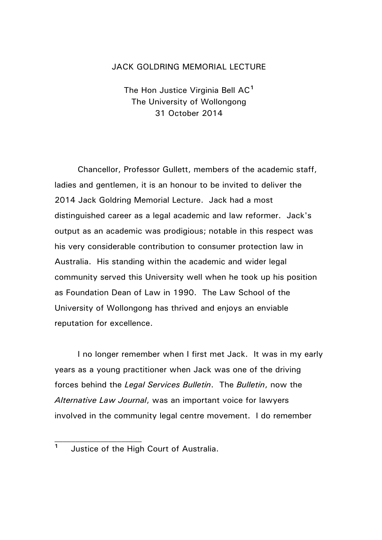## JACK GOLDRING MEMORIAL LECTURE

The Hon Justice Virginia Bell AC**[1](#page-0-0)** The University of Wollongong 31 October 2014

Chancellor, Professor Gullett, members of the academic staff, ladies and gentlemen, it is an honour to be invited to deliver the 2014 Jack Goldring Memorial Lecture. Jack had a most distinguished career as a legal academic and law reformer. Jack's output as an academic was prodigious; notable in this respect was his very considerable contribution to consumer protection law in Australia. His standing within the academic and wider legal community served this University well when he took up his position as Foundation Dean of Law in 1990. The Law School of the University of Wollongong has thrived and enjoys an enviable reputation for excellence.

I no longer remember when I first met Jack. It was in my early years as a young practitioner when Jack was one of the driving forces behind the *Legal Services Bulletin*. The *Bulletin*, now the *Alternative Law Journal*, was an important voice for lawyers involved in the community legal centre movement. I do remember

<span id="page-0-0"></span>**<sup>1</sup>** Justice of the High Court of Australia.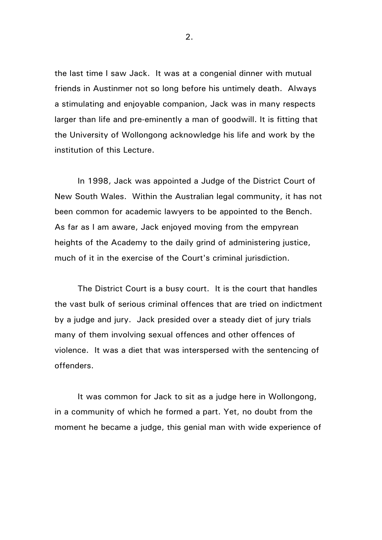the last time I saw Jack. It was at a congenial dinner with mutual friends in Austinmer not so long before his untimely death. Always a stimulating and enjoyable companion, Jack was in many respects larger than life and pre-eminently a man of goodwill. It is fitting that the University of Wollongong acknowledge his life and work by the institution of this Lecture.

In 1998, Jack was appointed a Judge of the District Court of New South Wales. Within the Australian legal community, it has not been common for academic lawyers to be appointed to the Bench. As far as I am aware, Jack enjoyed moving from the empyrean heights of the Academy to the daily grind of administering justice, much of it in the exercise of the Court's criminal jurisdiction.

The District Court is a busy court. It is the court that handles the vast bulk of serious criminal offences that are tried on indictment by a judge and jury. Jack presided over a steady diet of jury trials many of them involving sexual offences and other offences of violence. It was a diet that was interspersed with the sentencing of offenders.

It was common for Jack to sit as a judge here in Wollongong, in a community of which he formed a part. Yet, no doubt from the moment he became a judge, this genial man with wide experience of

2.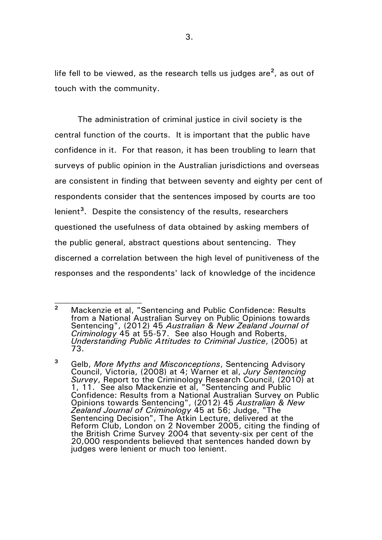life fell to be viewed, as the research tells us judges are**[2](#page-2-0)** , as out of touch with the community.

The administration of criminal justice in civil society is the central function of the courts. It is important that the public have confidence in it. For that reason, it has been troubling to learn that surveys of public opinion in the Australian jurisdictions and overseas are consistent in finding that between seventy and eighty per cent of respondents consider that the sentences imposed by courts are too lenient**[3](#page-2-1)** . Despite the consistency of the results, researchers questioned the usefulness of data obtained by asking members of the public general, abstract questions about sentencing. They discerned a correlation between the high level of punitiveness of the responses and the respondents' lack of knowledge of the incidence

<span id="page-2-0"></span>**<sup>2</sup>** Mackenzie et al, "Sentencing and Public Confidence: Results from a National Australian Survey on Public Opinions towards Sentencing", (2012) 45 *Australian & New Zealand Journal of Criminology* 45 at 55-57. See also Hough and Roberts, *Understanding Public Attitudes to Criminal Justice*, (2005) at 73.

<span id="page-2-1"></span>**<sup>3</sup>** Gelb, *More Myths and Misconceptions*, Sentencing Advisory Council, Victoria, (2008) at 4; Warner et al, *Jury Sentencing Survey*, Report to the Criminology Research Council, (2010) at 1, 11. See also Mackenzie et al, "Sentencing and Public Confidence: Results from a National Australian Survey on Public Opinions towards Sentencing", (2012) 45 *Australian & New Zealand Journal of Criminology* 45 at 56; Judge, "The Sentencing Decision", The Atkin Lecture, delivered at the Reform Club, London on 2 November 2005, citing the finding of the British Crime Survey 2004 that seventy-six per cent of the 20,000 respondents believed that sentences handed down by judges were lenient or much too lenient.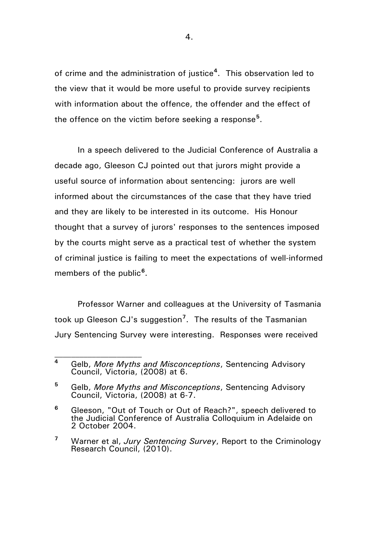of crime and the administration of justice**[4](#page-3-0)** . This observation led to the view that it would be more useful to provide survey recipients with information about the offence, the offender and the effect of the offence on the victim before seeking a response**[5](#page-3-1)** .

In a speech delivered to the Judicial Conference of Australia a decade ago, Gleeson CJ pointed out that jurors might provide a useful source of information about sentencing: jurors are well informed about the circumstances of the case that they have tried and they are likely to be interested in its outcome. His Honour thought that a survey of jurors' responses to the sentences imposed by the courts might serve as a practical test of whether the system of criminal justice is failing to meet the expectations of well-informed members of the public**[6](#page-3-2)** .

Professor Warner and colleagues at the University of Tasmania took up Gleeson CJ's suggestion**[7](#page-3-3)** . The results of the Tasmanian Jury Sentencing Survey were interesting. Responses were received

<span id="page-3-0"></span>**<sup>4</sup>** Gelb, *More Myths and Misconceptions*, Sentencing Advisory Council, Victoria, (2008) at 6.

<span id="page-3-1"></span>**<sup>5</sup>** Gelb, *More Myths and Misconceptions*, Sentencing Advisory Council, Victoria, (2008) at 6-7.

<span id="page-3-2"></span>**<sup>6</sup>** Gleeson, "Out of Touch or Out of Reach?", speech delivered to the Judicial Conference of Australia Colloquium in Adelaide on 2 October 2004.

<span id="page-3-3"></span>**<sup>7</sup>** Warner et al, *Jury Sentencing Survey*, Report to the Criminology Research Council, (2010).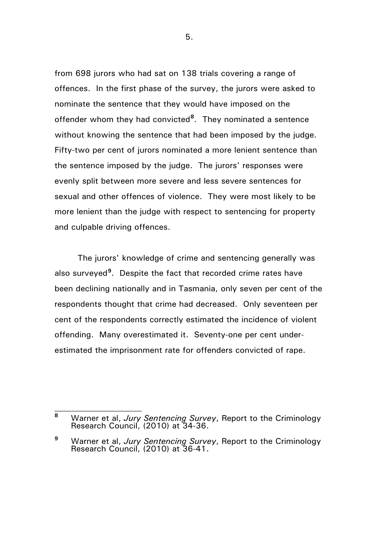from 698 jurors who had sat on 138 trials covering a range of offences. In the first phase of the survey, the jurors were asked to nominate the sentence that they would have imposed on the offender whom they had convicted**[8](#page-4-0)** . They nominated a sentence without knowing the sentence that had been imposed by the judge. Fifty-two per cent of jurors nominated a more lenient sentence than the sentence imposed by the judge. The jurors' responses were evenly split between more severe and less severe sentences for sexual and other offences of violence. They were most likely to be more lenient than the judge with respect to sentencing for property and culpable driving offences.

The jurors' knowledge of crime and sentencing generally was also surveyed**[9](#page-4-1)** . Despite the fact that recorded crime rates have been declining nationally and in Tasmania, only seven per cent of the respondents thought that crime had decreased. Only seventeen per cent of the respondents correctly estimated the incidence of violent offending. Many overestimated it. Seventy-one per cent underestimated the imprisonment rate for offenders convicted of rape.

 $\mathcal{L}_\text{max}$ 

5.

<span id="page-4-0"></span>**<sup>8</sup>** Warner et al, *Jury Sentencing Survey*, Report to the Criminology Research Council, (2010) at 34-36.

<span id="page-4-1"></span>**<sup>9</sup>** Warner et al, *Jury Sentencing Survey*, Report to the Criminology Research Council, (2010) at 36-41.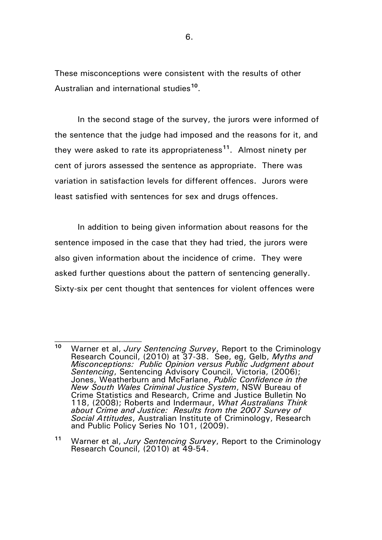These misconceptions were consistent with the results of other Australian and international studies**[10](#page-5-0)**.

In the second stage of the survey, the jurors were informed of the sentence that the judge had imposed and the reasons for it, and they were asked to rate its appropriateness**[11](#page-5-1)**. Almost ninety per cent of jurors assessed the sentence as appropriate. There was variation in satisfaction levels for different offences. Jurors were least satisfied with sentences for sex and drugs offences.

In addition to being given information about reasons for the sentence imposed in the case that they had tried, the jurors were also given information about the incidence of crime. They were asked further questions about the pattern of sentencing generally. Sixty-six per cent thought that sentences for violent offences were

 $\mathcal{L}_\text{max}$ 

<span id="page-5-1"></span>**<sup>11</sup>** Warner et al, *Jury Sentencing Survey*, Report to the Criminology Research Council, (2010) at 49-54.

<span id="page-5-0"></span>**<sup>10</sup>** Warner et al, *Jury Sentencing Survey*, Report to the Criminology Research Council, (2010) at 37-38. See, eg, Gelb, *Myths and Misconceptions: Public Opinion versus Public Judgment about Sentencing*, Sentencing Advisory Council, Victoria, (2006); Jones, Weatherburn and McFarlane, *Public Confidence in the New South Wales Criminal Justice System*, NSW Bureau of Crime Statistics and Research, Crime and Justice Bulletin No 118, (2008); Roberts and Indermaur, *What Australians Think about Crime and Justice: Results from the 2007 Survey of Social Attitudes*, Australian Institute of Criminology, Research and Public Policy Series No 101, (2009).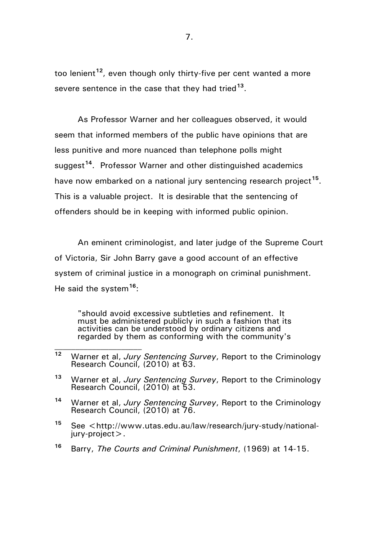too lenient**[12](#page-6-0)**, even though only thirty-five per cent wanted a more severe sentence in the case that they had tried**[13](#page-6-1)**.

As Professor Warner and her colleagues observed, it would seem that informed members of the public have opinions that are less punitive and more nuanced than telephone polls might suggest<sup>[14](#page-6-2)</sup>. Professor Warner and other distinguished academics have now embarked on a national jury sentencing research project**[15](#page-6-3)**. This is a valuable project. It is desirable that the sentencing of offenders should be in keeping with informed public opinion.

An eminent criminologist, and later judge of the Supreme Court of Victoria, Sir John Barry gave a good account of an effective system of criminal justice in a monograph on criminal punishment. He said the system**[16](#page-6-4)**:

"should avoid excessive subtleties and refinement. It must be administered publicly in such a fashion that its activities can be understood by ordinary citizens and regarded by them as conforming with the community's

- <span id="page-6-3"></span><sup>15</sup> See <http://www.utas.edu.au/law/research/jury-study/national-<br>iury-project>.
- <span id="page-6-4"></span>**<sup>16</sup>** Barry, *The Courts and Criminal Punishment*, (1969) at 14-15.

<span id="page-6-0"></span>**<sup>12</sup>** Warner et al, *Jury Sentencing Survey*, Report to the Criminology Research Council, (2010) at 63.

<span id="page-6-1"></span>**<sup>13</sup>** Warner et al, *Jury Sentencing Survey*, Report to the Criminology Research Council, (2010) at 53.

<span id="page-6-2"></span>**<sup>14</sup>** Warner et al, *Jury Sentencing Survey*, Report to the Criminology Research Council, (2010) at 76.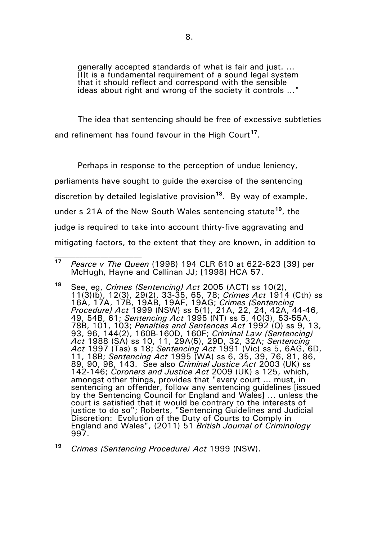generally accepted standards of what is fair and just. ... [I]t is a fundamental requirement of a sound legal system that it should reflect and correspond with the sensible ideas about right and wrong of the society it controls ..."

The idea that sentencing should be free of excessive subtleties and refinement has found favour in the High Court**[17](#page-7-0)**.

Perhaps in response to the perception of undue leniency, parliaments have sought to guide the exercise of the sentencing discretion by detailed legislative provision**[18](#page-7-1)**. By way of example, under s 21A of the New South Wales sentencing statute**[19](#page-7-2)**, the judge is required to take into account thirty-five aggravating and mitigating factors, to the extent that they are known, in addition to

<span id="page-7-0"></span>**<sup>17</sup>** *Pearce v The Queen* (1998) 194 CLR 610 at 622-623 [39] per McHugh, Hayne and Callinan JJ; [1998] HCA 57.

<span id="page-7-1"></span>**<sup>18</sup>** See, eg, *Crimes (Sentencing) Act* 2005 (ACT) ss 10(2), 11(3)(b), 12(3), 29(2), 33-35, 65, 78; *Crimes Act* 1914 (Cth) ss 16A, 17A, 17B, 19AB, 19AF, 19AG; *Crimes (Sentencing Procedure) Act* 1999 (NSW) ss 5(1), 21A, 22, 24, 42A, 44-46, 49, 54B, 61; *Sentencing Act* 1995 (NT) ss 5, 40(3), 53-55A, 78B, 101, 103; *Penalties and Sentences Act* 1992 (Q) ss 9, 13, 93, 96, 144(2), 160B-160D, 160F; *Criminal Law (Sentencing) Act* 1988 (SA) ss 10, 11, 29A(5), 29D, 32, 32A; *Sentencing Act* 1997 (Tas) s 18; *Sentencing Act* 1991 (Vic) ss 5, 6AG, 6D, 11, 18B; *Sentencing Act* 1995 (WA) ss 6, 35, 39, 76, 81, 86, 89, 90, 98, 143. See also *Criminal Justice Act* 2003 (UK) ss 142-146; *Coroners and Justice Act* 2009 (UK) s 125, which, amongst other things, provides that "every court ... must, in sentencing an offender, follow any sentencing guidelines [issued by the Sentencing Council for England and Wales] ... unless the court is satisfied that it would be contrary to the interests of justice to do so"; Roberts, "Sentencing Guidelines and Judicial Discretion: Evolution of the Duty of Courts to Comply in England and Wales", (2011) 51 *British Journal of Criminology*  997.

<span id="page-7-2"></span>**<sup>19</sup>** *Crimes (Sentencing Procedure) Act* 1999 (NSW).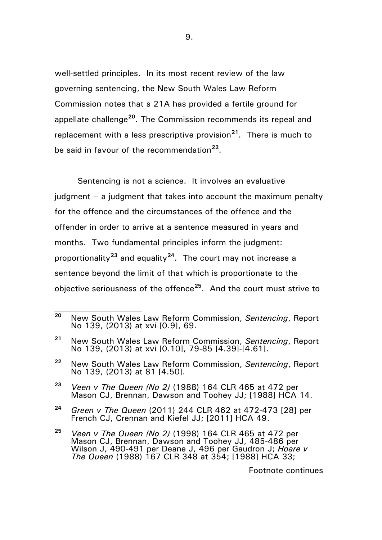well-settled principles. In its most recent review of the law governing sentencing, the New South Wales Law Reform Commission notes that s 21A has provided a fertile ground for appellate challenge**[20](#page-8-0)**. The Commission recommends its repeal and replacement with a less prescriptive provision**[21](#page-8-1)**. There is much to be said in favour of the recommendation**[22](#page-8-2)**.

Sentencing is not a science. It involves an evaluative judgment – a judgment that takes into account the maximum penalty for the offence and the circumstances of the offence and the offender in order to arrive at a sentence measured in years and months. Two fundamental principles inform the judgment: proportionality**[23](#page-8-3)** and equality**[24](#page-8-4)**. The court may not increase a sentence beyond the limit of that which is proportionate to the objective seriousness of the offence**[25](#page-8-5)**. And the court must strive to

 $\mathcal{L}_\text{max}$ 

Footnote continues

<span id="page-8-0"></span>**<sup>20</sup>** New South Wales Law Reform Commission, *Sentencing*, Report No 139, (2013) at xvi [0.9], 69.

<span id="page-8-1"></span>**<sup>21</sup>** New South Wales Law Reform Commission, *Sentencing*, Report No 139, (2013) at xvi [0.10], 79-85 [4.39]-[4.61].

<span id="page-8-2"></span>**<sup>22</sup>** New South Wales Law Reform Commission, *Sentencing*, Report No 139, (2013) at 81 [4.50].

<span id="page-8-3"></span>**<sup>23</sup>** *Veen v The Queen (No 2)* (1988) 164 CLR 465 at 472 per Mason CJ, Brennan, Dawson and Toohey JJ; [1988] HCA 14.

<span id="page-8-4"></span>**<sup>24</sup>** *Green v The Queen* (2011) 244 CLR 462 at 472-473 [28] per French CJ, Crennan and Kiefel JJ; [2011] HCA 49.

<span id="page-8-5"></span>**<sup>25</sup>** *Veen v The Queen (No 2)* (1998) 164 CLR 465 at 472 per Mason CJ, Brennan, Dawson and Toohey JJ, 485-486 per Wilson J, 490-491 per Deane J, 496 per Gaudron J; *Hoare v The Queen* (1988) 167 CLR 348 at 354; [1988] HCA 33;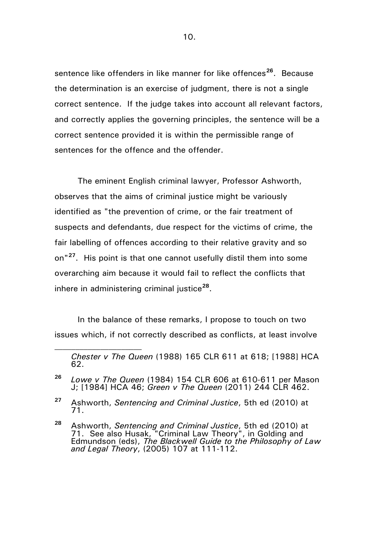sentence like offenders in like manner for like offences**[26](#page-9-0)**. Because the determination is an exercise of judgment, there is not a single correct sentence. If the judge takes into account all relevant factors, and correctly applies the governing principles, the sentence will be a correct sentence provided it is within the permissible range of sentences for the offence and the offender.

The eminent English criminal lawyer, Professor Ashworth, observes that the aims of criminal justice might be variously identified as "the prevention of crime, or the fair treatment of suspects and defendants, due respect for the victims of crime, the fair labelling of offences according to their relative gravity and so on"**[27](#page-9-1)**. His point is that one cannot usefully distil them into some overarching aim because it would fail to reflect the conflicts that inhere in administering criminal justice**[28](#page-9-2)**.

In the balance of these remarks, I propose to touch on two issues which, if not correctly described as conflicts, at least involve

*Chester v The Queen* (1988) 165 CLR 611 at 618; [1988] HCA 62.

<span id="page-9-0"></span>**<sup>26</sup>** *Lowe v The Queen* (1984) 154 CLR 606 at 610-611 per Mason J; [1984] HCA 46; *Green v The Queen* (2011) 244 CLR 462.

<span id="page-9-1"></span>**<sup>27</sup>** Ashworth, *Sentencing and Criminal Justice*, 5th ed (2010) at 71.

<span id="page-9-2"></span>**<sup>28</sup>** Ashworth, *Sentencing and Criminal Justice*, 5th ed (2010) at 71. See also Husak, "Criminal Law Theory", in Golding and Edmundson (eds), *The Blackwell Guide to the Philosophy of Law and Legal Theory*, (2005) 107 at 111-112.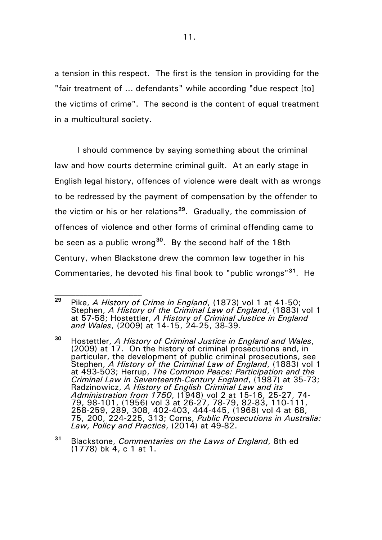a tension in this respect. The first is the tension in providing for the "fair treatment of ... defendants" while according "due respect [to] the victims of crime". The second is the content of equal treatment in a multicultural society.

I should commence by saying something about the criminal law and how courts determine criminal guilt. At an early stage in English legal history, offences of violence were dealt with as wrongs to be redressed by the payment of compensation by the offender to the victim or his or her relations**[29](#page-10-0)**. Gradually, the commission of offences of violence and other forms of criminal offending came to be seen as a public wrong**[30](#page-10-1)**. By the second half of the 18th Century, when Blackstone drew the common law together in his Commentaries, he devoted his final book to "public wrongs"**[31](#page-10-2)**. He

<span id="page-10-0"></span>**<sup>29</sup>** Pike, *A History of Crime in England*, (1873) vol 1 at 41-50; Stephen, *A History of the Criminal Law of England*, (1883) vol 1 at 57-58; Hostettler, *A History of Criminal Justice in England and Wales*, (2009) at 14-15, 24-25, 38-39.

<span id="page-10-1"></span>**<sup>30</sup>** Hostettler, *A History of Criminal Justice in England and Wales*, (2009) at 17. On the history of criminal prosecutions and, in particular, the development of public criminal prosecutions, see Stephen, *A History of the Criminal Law of England*, (1883) vol 1 at 493-503; Herrup, *The Common Peace: Participation and the Criminal Law in Seventeenth-Century England*, (1987) at 35-73; Radzinowicz, *A History of English Criminal Law and its Administration from 1750*, (1948) vol 2 at 15-16, 25-27, 74- 79, 98-101, (1956) vol 3 at 26-27, 78-79, 82-83, 110-111, 258-259, 289, 308, 402-403, 444-445, (1968) vol 4 at 68, 75, 200, 224-225, 313; Corns, *Public Prosecutions in Australia: Law, Policy and Practice*, (2014) at 49-82.

<span id="page-10-2"></span>**<sup>31</sup>** Blackstone, *Commentaries on the Laws of England*, 8th ed (1778) bk 4, c 1 at 1.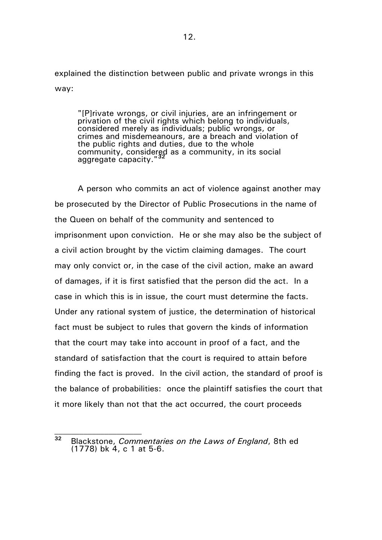explained the distinction between public and private wrongs in this way:

"[P]rivate wrongs, or civil injuries, are an infringement or privation of the civil rights which belong to individuals, considered merely as individuals; public wrongs, or crimes and misdemeanours, are a breach and violation of the public rights and duties, due to the whole community, considered as a community, in its social aggregate capacity."**[32](#page-11-0)**

A person who commits an act of violence against another may be prosecuted by the Director of Public Prosecutions in the name of the Queen on behalf of the community and sentenced to imprisonment upon conviction. He or she may also be the subject of a civil action brought by the victim claiming damages. The court may only convict or, in the case of the civil action, make an award of damages, if it is first satisfied that the person did the act. In a case in which this is in issue, the court must determine the facts. Under any rational system of justice, the determination of historical fact must be subject to rules that govern the kinds of information that the court may take into account in proof of a fact, and the standard of satisfaction that the court is required to attain before finding the fact is proved. In the civil action, the standard of proof is the balance of probabilities: once the plaintiff satisfies the court that it more likely than not that the act occurred, the court proceeds

<span id="page-11-0"></span>**<sup>32</sup>** Blackstone, *Commentaries on the Laws of England*, 8th ed (1778) bk 4, c 1 at 5-6.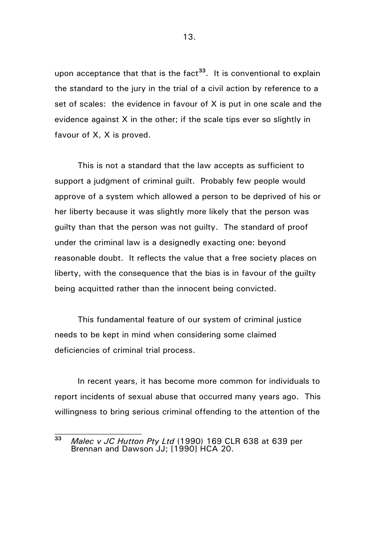upon acceptance that that is the fact**[33](#page-12-0)**. It is conventional to explain the standard to the jury in the trial of a civil action by reference to a set of scales: the evidence in favour of X is put in one scale and the evidence against X in the other; if the scale tips ever so slightly in favour of X, X is proved.

This is not a standard that the law accepts as sufficient to support a judgment of criminal guilt. Probably few people would approve of a system which allowed a person to be deprived of his or her liberty because it was slightly more likely that the person was guilty than that the person was not guilty. The standard of proof under the criminal law is a designedly exacting one: beyond reasonable doubt. It reflects the value that a free society places on liberty, with the consequence that the bias is in favour of the guilty being acquitted rather than the innocent being convicted.

This fundamental feature of our system of criminal justice needs to be kept in mind when considering some claimed deficiencies of criminal trial process.

In recent years, it has become more common for individuals to report incidents of sexual abuse that occurred many years ago. This willingness to bring serious criminal offending to the attention of the

<span id="page-12-0"></span>**<sup>33</sup>** *Malec v JC Hutton Pty Ltd* (1990) 169 CLR 638 at 639 per Brennan and Dawson JJ; [1990] HCA 20.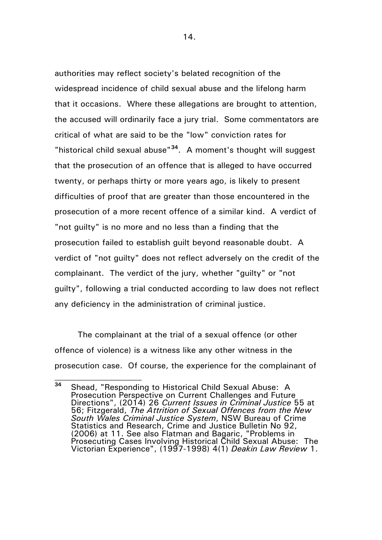authorities may reflect society's belated recognition of the widespread incidence of child sexual abuse and the lifelong harm that it occasions. Where these allegations are brought to attention, the accused will ordinarily face a jury trial. Some commentators are critical of what are said to be the "low" conviction rates for "historical child sexual abuse"**[34](#page-13-0)**. A moment's thought will suggest that the prosecution of an offence that is alleged to have occurred twenty, or perhaps thirty or more years ago, is likely to present difficulties of proof that are greater than those encountered in the prosecution of a more recent offence of a similar kind. A verdict of "not guilty" is no more and no less than a finding that the prosecution failed to establish guilt beyond reasonable doubt. A verdict of "not guilty" does not reflect adversely on the credit of the complainant. The verdict of the jury, whether "guilty" or "not guilty", following a trial conducted according to law does not reflect any deficiency in the administration of criminal justice.

The complainant at the trial of a sexual offence (or other offence of violence) is a witness like any other witness in the prosecution case. Of course, the experience for the complainant of

 $\mathcal{L}_\text{max}$ 

14.

<span id="page-13-0"></span>**<sup>34</sup>** Shead, "Responding to Historical Child Sexual Abuse: A Prosecution Perspective on Current Challenges and Future Directions", (2014) 26 *Current Issues in Criminal Justice* 55 at 56; Fitzgerald, *The Attrition of Sexual Offences from the New South Wales Criminal Justice System*, NSW Bureau of Crime Statistics and Research, Crime and Justice Bulletin No 92, (2006) at 11. See also Flatman and Bagaric, "Problems in Prosecuting Cases Involving Historical Child Sexual Abuse: The Victorian Experience", (1997-1998) 4(1) *Deakin Law Review* 1.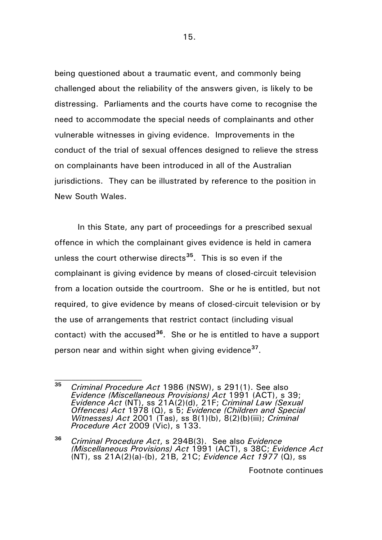being questioned about a traumatic event, and commonly being challenged about the reliability of the answers given, is likely to be distressing. Parliaments and the courts have come to recognise the need to accommodate the special needs of complainants and other vulnerable witnesses in giving evidence. Improvements in the conduct of the trial of sexual offences designed to relieve the stress on complainants have been introduced in all of the Australian jurisdictions. They can be illustrated by reference to the position in New South Wales.

<span id="page-14-2"></span>In this State, any part of proceedings for a prescribed sexual offence in which the complainant gives evidence is held in camera unless the court otherwise directs**[35](#page-14-0)**. This is so even if the complainant is giving evidence by means of closed-circuit television from a location outside the courtroom. She or he is entitled, but not required, to give evidence by means of closed-circuit television or by the use of arrangements that restrict contact (including visual contact) with the accused**[36](#page-14-1)**. She or he is entitled to have a support person near and within sight when giving evidence**[37](#page-14-2)**.

<span id="page-14-0"></span>**<sup>35</sup>** *Criminal Procedure Act* 1986 (NSW), s 291(1). See also *Evidence (Miscellaneous Provisions) Act* 1991 (ACT), s 39; *Evidence Act* (NT), ss 21A(2)(d), 21F; *Criminal Law (Sexual Offences) Act* 1978 (Q), s 5; *Evidence (Children and Special Witnesses) Act* 2001 (Tas), ss 8(1)(b), 8(2)(b)(iii); *Criminal Procedure Act* 2009 (Vic), s 133.

<span id="page-14-1"></span>**<sup>36</sup>** *Criminal Procedure Act*, s 294B(3). See also *Evidence (Miscellaneous Provisions) Act* 1991 (ACT), s 38C; *Evidence Act*  (NT), ss 21A(2)(a)-(b), 21B, 21C; *Evidence Act 1977* (Q), ss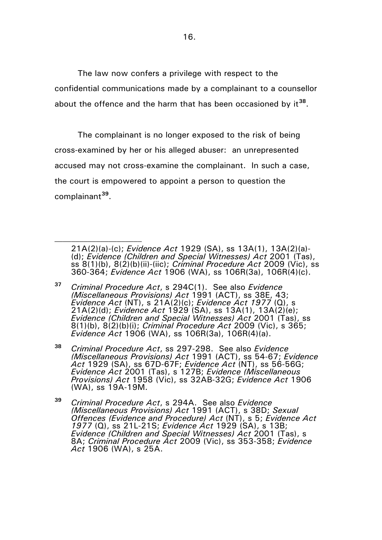The law now confers a privilege with respect to the confidential communications made by a complainant to a counsellor about the offence and the harm that has been occasioned by it**[38](#page-15-0)**.

The complainant is no longer exposed to the risk of being cross-examined by her or his alleged abuser: an unrepresented accused may not cross-examine the complainant. In such a case, the court is empowered to appoint a person to question the complainant**[39](#page-15-1)**.

<sup>21</sup>A(2)(a)-(c); *Evidence Act* 1929 (SA), ss 13A(1), 13A(2)(a)- (d); *Evidence (Children and Special Witnesses) Act* 2001 (Tas), ss 8(1)(b), 8(2)(b)(ii)-(iic); *Criminal Procedure Act* 2009 (Vic), ss 360-364; *Evidence Act* 1906 (WA), ss 106R(3a), 106R(4)(c).

**<sup>37</sup>** *Criminal Procedure Act*, s 294C(1). See also *Evidence (Miscellaneous Provisions) Act* 1991 (ACT), ss 38E, 43; *Evidence Act* (NT), s 21A(2)(c); *Evidence Act 1977* (Q), s 21A(2)(d); *Evidence Act* 1929 (SA), ss 13A(1), 13A(2)(e); *Evidence (Children and Special Witnesses) Act* 2001 (Tas), ss 8(1)(b), 8(2)(b)(i); *Criminal Procedure Act* 2009 (Vic), s 365; *Evidence Act* 1906 (WA), ss 106R(3a), 106R(4)(a).

<span id="page-15-0"></span>**<sup>38</sup>** *Criminal Procedure Act*, ss 297-298. See also *Evidence (Miscellaneous Provisions) Act* 1991 (ACT), ss 54-67; *Evidence Act* 1929 (SA), ss 67D-67F; *Evidence Act* (NT), ss 56-56G; *Evidence Act* 2001 (Tas), s 127B; *Evidence (Miscellaneous Provisions) Act* 1958 (Vic), ss 32AB-32G; *Evidence Act* 1906 (WA), ss 19A-19M.

<span id="page-15-1"></span>**<sup>39</sup>** *Criminal Procedure Act*, s 294A. See also *Evidence (Miscellaneous Provisions) Act* 1991 (ACT), s 38D; *Sexual Offences (Evidence and Procedure) Act* (NT), s 5; *Evidence Act 1977* (Q), ss 21L-21S; *Evidence Act* 1929 (SA), s 13B; *Evidence (Children and Special Witnesses) Act* 2001 (Tas), s 8A; *Criminal Procedure Act* 2009 (Vic), ss 353-358; *Evidence Act* 1906 (WA), s 25A.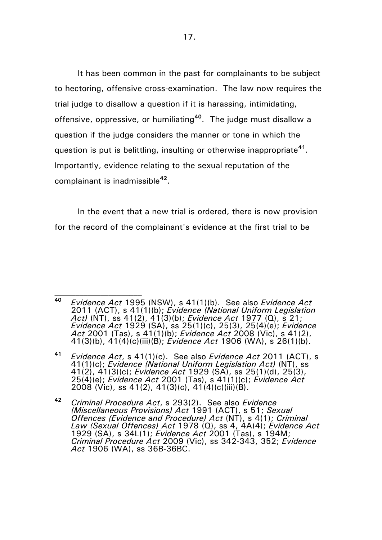It has been common in the past for complainants to be subject to hectoring, offensive cross-examination. The law now requires the trial judge to disallow a question if it is harassing, intimidating, offensive, oppressive, or humiliating**[40](#page-16-0)**. The judge must disallow a question if the judge considers the manner or tone in which the question is put is belittling, insulting or otherwise inappropriate**[41](#page-16-1)**. Importantly, evidence relating to the sexual reputation of the complainant is inadmissible**[42](#page-16-2)**.

In the event that a new trial is ordered, there is now provision for the record of the complainant's evidence at the first trial to be

<span id="page-16-0"></span>**<sup>40</sup>** *Evidence Act* 1995 (NSW), s 41(1)(b). See also *Evidence Act*  2011 (ACT), s 41(1)(b); *Evidence (National Uniform Legislation Act)* (NT), ss 41(2), 41(3)(b); *Evidence Act* 1977 (Q), s 21; *Evidence Act* 1929 (SA), ss 25(1)(c), 25(3), 25(4)(e); *Evidence Act* 2001 (Tas), s 41(1)(b); *Evidence Act* 2008 (Vic), s 41(2), 41(3)(b), 41(4)(c)(iii)(B); *Evidence Act* 1906 (WA), s 26(1)(b).

<span id="page-16-1"></span>**<sup>41</sup>** *Evidence Act*, s 41(1)(c). See also *Evidence Act* 2011 (ACT), s 41(1)(c); *Evidence (National Uniform Legislation Act)* (NT), ss 41(2), 41(3)(c); *Evidence Act* 1929 (SA), ss 25(1)(d), 25(3), 25(4)(e); *Evidence Act* 2001 (Tas), s 41(1)(c); *Evidence Act*  2008 (Vic), ss 41(2), 41(3)(c), 41(4)(c)(iii)(B).

<span id="page-16-2"></span>**<sup>42</sup>** *Criminal Procedure Act*, s 293(2). See also *Evidence (Miscellaneous Provisions) Act* 1991 (ACT), s 51; *Sexual Offences (Evidence and Procedure) Act* (NT), s 4(1); *Criminal Law (Sexual Offences) Act* 1978 (Q), ss 4, 4A(4); *Evidence Act*  1929 (SA), s 34L(1); *Evidence Act* 2001 (Tas), s 194M; *Criminal Procedure Act* 2009 (Vic), ss 342-343, 352; *Evidence Act* 1906 (WA), ss 36B-36BC.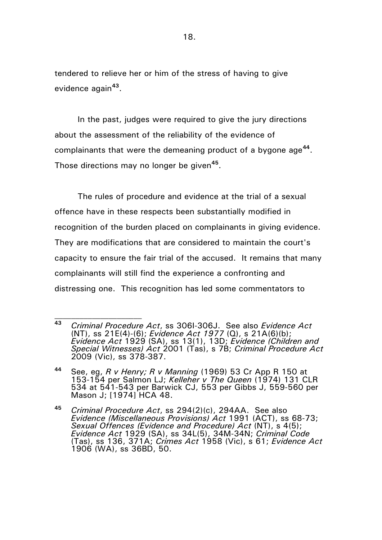tendered to relieve her or him of the stress of having to give evidence again**[43](#page-17-0)**.

In the past, judges were required to give the jury directions about the assessment of the reliability of the evidence of complainants that were the demeaning product of a bygone age**[44](#page-17-1)**. Those directions may no longer be given**[45](#page-17-2)**.

The rules of procedure and evidence at the trial of a sexual offence have in these respects been substantially modified in recognition of the burden placed on complainants in giving evidence. They are modifications that are considered to maintain the court's capacity to ensure the fair trial of the accused. It remains that many complainants will still find the experience a confronting and distressing one. This recognition has led some commentators to

<span id="page-17-0"></span>**<sup>43</sup>** *Criminal Procedure Act*, ss 306I-306J. See also *Evidence Act*  (NT), ss 21E(4)-(6); *Evidence Act 1977* (Q), s 21A(6)(b); *Evidence Act* 1929 (SA), ss 13(1), 13D; *Evidence (Children and Special Witnesses) Act* 2001 (Tas), s 7B; *Criminal Procedure Act*  2009 (Vic), ss 378-387.

<span id="page-17-1"></span>**<sup>44</sup>** See, eg, *R v Henry; R v Manning* (1969) 53 Cr App R 150 at 153-154 per Salmon LJ; *Kelleher v The Queen* (1974) 131 CLR 534 at 541-543 per Barwick CJ, 553 per Gibbs J, 559-560 per Mason J; [1974] HCA 48.

<span id="page-17-2"></span>**<sup>45</sup>** *Criminal Procedure Act*, ss 294(2)(c), 294AA. See also *Evidence (Miscellaneous Provisions) Act* 1991 (ACT), ss 68-73; *Sexual Offences (Evidence and Procedure) Act* (NT), s 4(5); *Evidence Act* 1929 (SA), ss 34L(5), 34M-34N; *Criminal Code*  (Tas), ss 136, 371A; *Crimes Act* 1958 (Vic), s 61; *Evidence Act*  1906 (WA), ss 36BD, 50.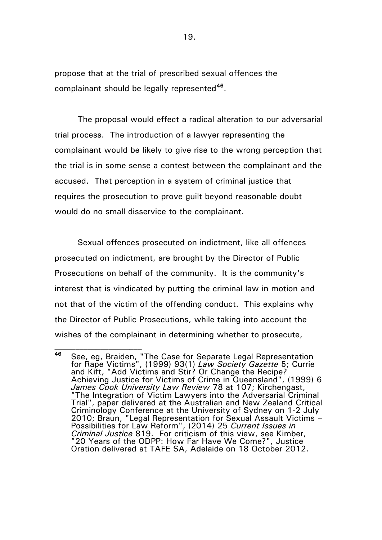propose that at the trial of prescribed sexual offences the complainant should be legally represented**[46](#page-18-0)**.

The proposal would effect a radical alteration to our adversarial trial process. The introduction of a lawyer representing the complainant would be likely to give rise to the wrong perception that the trial is in some sense a contest between the complainant and the accused. That perception in a system of criminal justice that requires the prosecution to prove guilt beyond reasonable doubt would do no small disservice to the complainant.

Sexual offences prosecuted on indictment, like all offences prosecuted on indictment, are brought by the Director of Public Prosecutions on behalf of the community. It is the community's interest that is vindicated by putting the criminal law in motion and not that of the victim of the offending conduct. This explains why the Director of Public Prosecutions, while taking into account the wishes of the complainant in determining whether to prosecute,

<span id="page-18-0"></span>**<sup>46</sup>** See, eg, Braiden, "The Case for Separate Legal Representation for Rape Victims", (1999) 93(1) *Law Society Gazette* 5; Currie and Kift, "Add Victims and Stir? Or Change the Recipe? Achieving Justice for Victims of Crime in Queensland", (1999) 6 *James Cook University Law Review* 78 at 107; Kirchengast, "The Integration of Victim Lawyers into the Adversarial Criminal Trial", paper delivered at the Australian and New Zealand Critical Criminology Conference at the University of Sydney on 1-2 July 2010; Braun, "Legal Representation for Sexual Assault Victims – Possibilities for Law Reform", (2014) 25 *Current Issues in Criminal Justice* 819. For criticism of this view, see Kimber, "20 Years of the ODPP: How Far Have We Come?", Justice Oration delivered at TAFE SA, Adelaide on 18 October 2012.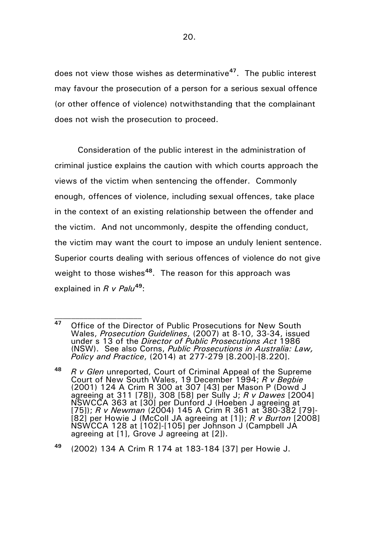does not view those wishes as determinative**[47](#page-19-0)**. The public interest may favour the prosecution of a person for a serious sexual offence (or other offence of violence) notwithstanding that the complainant does not wish the prosecution to proceed.

Consideration of the public interest in the administration of criminal justice explains the caution with which courts approach the views of the victim when sentencing the offender. Commonly enough, offences of violence, including sexual offences, take place in the context of an existing relationship between the offender and the victim. And not uncommonly, despite the offending conduct, the victim may want the court to impose an unduly lenient sentence. Superior courts dealing with serious offences of violence do not give weight to those wishes**[48](#page-19-1)**. The reason for this approach was explained in *R v Palu***[49](#page-19-2)**:

 $\mathcal{L}_\text{max}$ 

<span id="page-19-2"></span>**<sup>49</sup>** (2002) 134 A Crim R 174 at 183-184 [37] per Howie J.

<span id="page-19-0"></span>**<sup>47</sup>** Office of the Director of Public Prosecutions for New South Wales, *Prosecution Guidelines*, (2007) at 8-10, 33-34, issued under s 13 of the *Director of Public Prosecutions Act* 1986 (NSW). See also Corns, *Public Prosecutions in Australia: Law, Policy and Practice*, (2014) at 277-279 [8.200]-[8.220].

<span id="page-19-1"></span>**<sup>48</sup>** *R v Glen* unreported, Court of Criminal Appeal of the Supreme Court of New South Wales, 19 December 1994; *R v Begbie* (2001) 124 A Crim R 300 at 307 [43] per Mason P (Dowd J agreeing at 311 [78]), 308 [58] per Sully J; *R v Dawes* [2004] NSWCCA 363 at [30] per Dunford J (Hoeben J agreeing at [75]); *R v Newman* (2004) 145 A Crim R 361 at 380-382 [79]- [82] per Howie J (McColl JA agreeing at [1]); *R v Burton* [2008] NSWCCA 128 at [102]-[105] per Johnson J (Campbell JA agreeing at [1], Grove J agreeing at [2]).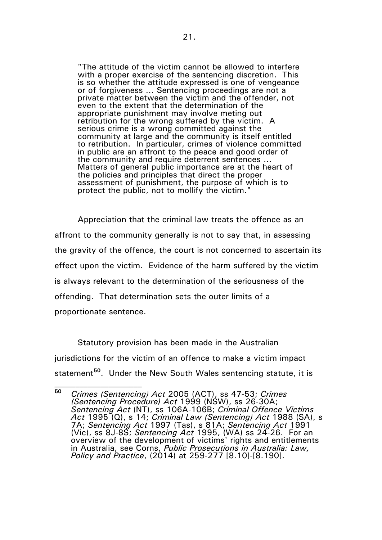"The attitude of the victim cannot be allowed to interfere with a proper exercise of the sentencing discretion. This is so whether the attitude expressed is one of vengeance or of forgiveness … Sentencing proceedings are not a private matter between the victim and the offender, not even to the extent that the determination of the appropriate punishment may involve meting out retribution for the wrong suffered by the victim. A serious crime is a wrong committed against the community at large and the community is itself entitled to retribution. In particular, crimes of violence committed in public are an affront to the peace and good order of the community and require deterrent sentences … Matters of general public importance are at the heart of the policies and principles that direct the proper assessment of punishment, the purpose of which is to protect the public, not to mollify the victim."

Appreciation that the criminal law treats the offence as an affront to the community generally is not to say that, in assessing the gravity of the offence, the court is not concerned to ascertain its effect upon the victim. Evidence of the harm suffered by the victim is always relevant to the determination of the seriousness of the offending. That determination sets the outer limits of a proportionate sentence.

Statutory provision has been made in the Australian jurisdictions for the victim of an offence to make a victim impact statement**[50](#page-20-0)**. Under the New South Wales sentencing statute, it is  $\mathcal{L}_\text{max}$ 

<span id="page-20-0"></span>**<sup>50</sup>** *Crimes (Sentencing) Act* 2005 (ACT), ss 47-53; *Crimes (Sentencing Procedure) Act* 1999 (NSW), ss 26-30A; *Sentencing Act* (NT), ss 106A-106B; *Criminal Offence Victims Act* 1995 (Q), s 14; *Criminal Law (Sentencing) Act* 1988 (SA), s 7A; *Sentencing Act* 1997 (Tas), s 81A; *Sentencing Act* 1991 (Vic), ss 8J-8S; *Sentencing Act* 1995, (WA) ss 24-26. For an overview of the development of victims' rights and entitlements in Australia, see Corns, *Public Prosecutions in Australia: Law, Policy and Practice*, (2014) at 259-277 [8.10]-[8.190].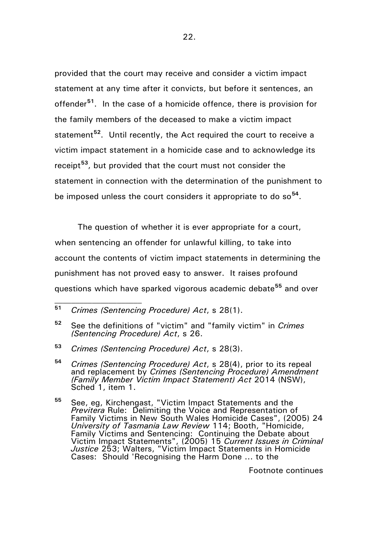provided that the court may receive and consider a victim impact statement at any time after it convicts, but before it sentences, an offender**[51](#page-21-0)**. In the case of a homicide offence, there is provision for the family members of the deceased to make a victim impact statement**[52](#page-21-1)**. Until recently, the Act required the court to receive a victim impact statement in a homicide case and to acknowledge its receipt**[53](#page-21-2)**, but provided that the court must not consider the statement in connection with the determination of the punishment to be imposed unless the court considers it appropriate to do so**[54](#page-21-3)**.

The question of whether it is ever appropriate for a court, when sentencing an offender for unlawful killing, to take into account the contents of victim impact statements in determining the punishment has not proved easy to answer. It raises profound questions which have sparked vigorous academic debate**[55](#page-21-4)** and over

 $\mathcal{L}_\text{max}$ 

Footnote continues

<span id="page-21-0"></span>**<sup>51</sup>** *Crimes (Sentencing Procedure) Act*, s 28(1).

<span id="page-21-1"></span>**<sup>52</sup>** See the definitions of "victim" and "family victim" in *Crimes (Sentencing Procedure) Act*, s 26.

<span id="page-21-2"></span>**<sup>53</sup>** *Crimes (Sentencing Procedure) Act*, s 28(3).

<span id="page-21-3"></span>**<sup>54</sup>** *Crimes (Sentencing Procedure) Act*, s 28(4), prior to its repeal and replacement by *Crimes (Sentencing Procedure) Amendment (Family Member Victim Impact Statement) Act* 2014 (NSW), Sched 1, item 1.

<span id="page-21-4"></span>**<sup>55</sup>** See, eg, Kirchengast, "Victim Impact Statements and the *Previtera* Rule: Delimiting the Voice and Representation of Family Victims in New South Wales Homicide Cases", (2005) 24 *University of Tasmania Law Review* 114; Booth, "Homicide, Family Victims and Sentencing: Continuing the Debate about Victim Impact Statements", (2005) 15 *Current Issues in Criminal Justice* 253; Walters, "Victim Impact Statements in Homicide Cases: Should 'Recognising the Harm Done ... to the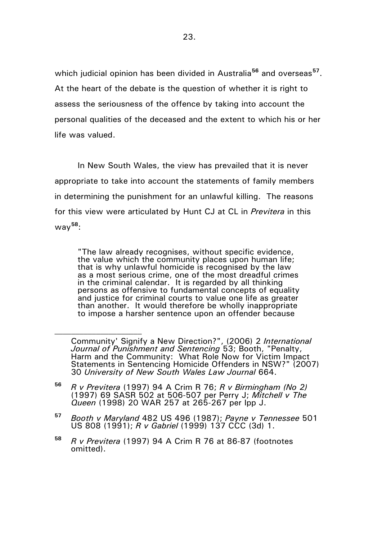which judicial opinion has been divided in Australia**[56](#page-22-0)** and overseas**[57](#page-22-1)**. At the heart of the debate is the question of whether it is right to assess the seriousness of the offence by taking into account the personal qualities of the deceased and the extent to which his or her life was valued.

In New South Wales, the view has prevailed that it is never appropriate to take into account the statements of family members in determining the punishment for an unlawful killing. The reasons for this view were articulated by Hunt CJ at CL in *Previtera* in this way**[58](#page-22-2)**:

"The law already recognises, without specific evidence, the value which the community places upon human life; that is why unlawful homicide is recognised by the law as a most serious crime, one of the most dreadful crimes in the criminal calendar. It is regarded by all thinking persons as offensive to fundamental concepts of equality and justice for criminal courts to value one life as greater than another. It would therefore be wholly inappropriate to impose a harsher sentence upon an offender because

<span id="page-22-0"></span>**<sup>56</sup>** *R v Previtera* (1997) 94 A Crim R 76; *R v Birmingham (No 2)* (1997) 69 SASR 502 at 506-507 per Perry J; *Mitchell v The Queen* (1998) 20 WAR 257 at 265-267 per Ipp J.

- <span id="page-22-1"></span>**<sup>57</sup>** *Booth v Maryland* 482 US 496 (1987); *Payne v Tennessee* 501 US 808 (1991); *R v Gabriel* (1999) 137 CCC (3d) 1.
- <span id="page-22-2"></span>**<sup>58</sup>** *R v Previtera* (1997) 94 A Crim R 76 at 86-87 (footnotes omitted).

Community' Signify a New Direction?", (2006) 2 *International Journal of Punishment and Sentencing* 53; Booth, "Penalty, Harm and the Community: What Role Now for Victim Impact Statements in Sentencing Homicide Offenders in NSW?" (2007) 30 *University of New South Wales Law Journal* 664.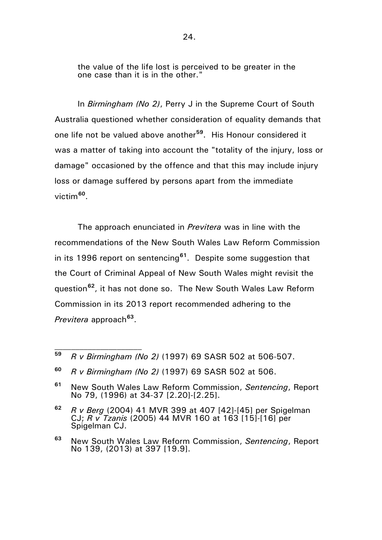the value of the life lost is perceived to be greater in the one case than it is in the other."

In *Birmingham (No 2)*, Perry J in the Supreme Court of South Australia questioned whether consideration of equality demands that one life not be valued above another**[59](#page-23-0)**. His Honour considered it was a matter of taking into account the "totality of the injury, loss or damage" occasioned by the offence and that this may include injury loss or damage suffered by persons apart from the immediate victim**[60](#page-23-1)**.

The approach enunciated in *Previtera* was in line with the recommendations of the New South Wales Law Reform Commission in its 1996 report on sentencing**[61](#page-23-2)**. Despite some suggestion that the Court of Criminal Appeal of New South Wales might revisit the question**[62](#page-23-3)**, it has not done so. The New South Wales Law Reform Commission in its 2013 report recommended adhering to the *Previtera* approach**[63](#page-23-4)**.

<span id="page-23-0"></span>**<sup>59</sup>** *R v Birmingham (No 2)* (1997) 69 SASR 502 at 506-507.

<span id="page-23-1"></span>**<sup>60</sup>** *R v Birmingham (No 2)* (1997) 69 SASR 502 at 506.

<span id="page-23-2"></span>**<sup>61</sup>** New South Wales Law Reform Commission, *Sentencing*, Report No 79, (1996) at 34-37 [2.20]-[2.25].

<span id="page-23-3"></span>**<sup>62</sup>** *R v Berg* (2004) 41 MVR 399 at 407 [42]-[45] per Spigelman CJ; *R v Tzanis* (2005) 44 MVR 160 at 163 [15]-[16] per Spigelman CJ.

<span id="page-23-4"></span>**<sup>63</sup>** New South Wales Law Reform Commission, *Sentencing*, Report No 139, (2013) at 397 [19.9].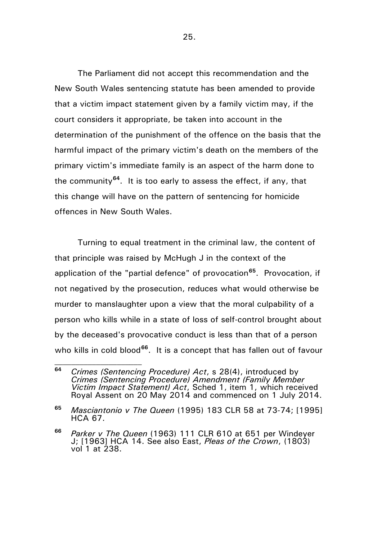The Parliament did not accept this recommendation and the New South Wales sentencing statute has been amended to provide that a victim impact statement given by a family victim may, if the court considers it appropriate, be taken into account in the determination of the punishment of the offence on the basis that the harmful impact of the primary victim's death on the members of the primary victim's immediate family is an aspect of the harm done to the community**[64](#page-24-0)**. It is too early to assess the effect, if any, that this change will have on the pattern of sentencing for homicide offences in New South Wales.

Turning to equal treatment in the criminal law, the content of that principle was raised by McHugh J in the context of the application of the "partial defence" of provocation**[65](#page-24-1)**. Provocation, if not negatived by the prosecution, reduces what would otherwise be murder to manslaughter upon a view that the moral culpability of a person who kills while in a state of loss of self-control brought about by the deceased's provocative conduct is less than that of a person who kills in cold blood<sup>[66](#page-24-2)</sup>. It is a concept that has fallen out of favour

<span id="page-24-0"></span>**<sup>64</sup>** *Crimes (Sentencing Procedure) Act*, s 28(4), introduced by *Crimes (Sentencing Procedure) Amendment (Family Member Victim Impact Statement) Act*, Sched 1, item 1, which received Royal Assent on 20 May 2014 and commenced on 1 July 2014.

<span id="page-24-1"></span>**<sup>65</sup>** *Masciantonio v The Queen* (1995) 183 CLR 58 at 73-74; [1995] HCA 67.

<span id="page-24-2"></span>**<sup>66</sup>** *Parker v The Queen* (1963) 111 CLR 610 at 651 per Windeyer J; [1963] HCA 14. See also East, *Pleas of the Crown*, (1803) vol 1 at 238.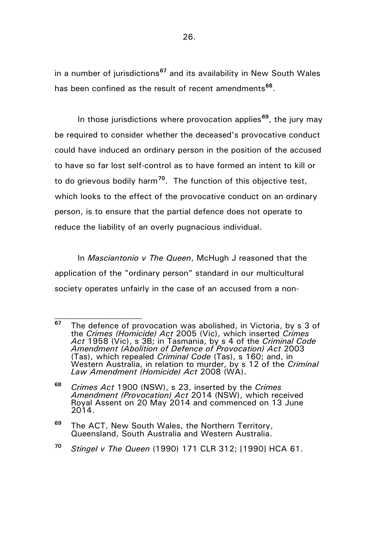in a number of jurisdictions**[67](#page-25-0)** and its availability in New South Wales has been confined as the result of recent amendments**[68](#page-25-1)**.

In those jurisdictions where provocation applies**[69](#page-25-2)**, the jury may be required to consider whether the deceased's provocative conduct could have induced an ordinary person in the position of the accused to have so far lost self-control as to have formed an intent to kill or to do grievous bodily harm**[70](#page-25-3)**. The function of this objective test, which looks to the effect of the provocative conduct on an ordinary person, is to ensure that the partial defence does not operate to reduce the liability of an overly pugnacious individual.

In *Masciantonio v The Queen*, McHugh J reasoned that the application of the "ordinary person" standard in our multicultural society operates unfairly in the case of an accused from a non-

<span id="page-25-0"></span>**<sup>67</sup>** The defence of provocation was abolished, in Victoria, by s 3 of the *Crimes (Homicide) Act* 2005 (Vic), which inserted *Crimes Act* 1958 (Vic), s 3B; in Tasmania, by s 4 of the *Criminal Code Amendment (Abolition of Defence of Provocation) Act* 2003 (Tas), which repealed *Criminal Code* (Tas), s 160; and, in Western Australia, in relation to murder, by s 12 of the *Criminal Law Amendment (Homicide) Act* 2008 (WA).

<span id="page-25-1"></span>**<sup>68</sup>** *Crimes Act* 1900 (NSW), s 23, inserted by the *Crimes Amendment (Provocation) Act* 2014 (NSW), which received Royal Assent on 20 May 2014 and commenced on 13 June 2014.

<span id="page-25-2"></span>**<sup>69</sup>** The ACT, New South Wales, the Northern Territory, Queensland, South Australia and Western Australia.

<span id="page-25-3"></span>**<sup>70</sup>** *Stingel v The Queen* (1990) 171 CLR 312; [1990] HCA 61.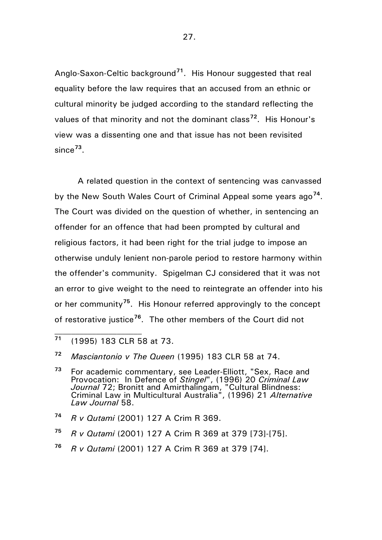Anglo-Saxon-Celtic background**[71](#page-26-0)**. His Honour suggested that real equality before the law requires that an accused from an ethnic or cultural minority be judged according to the standard reflecting the values of that minority and not the dominant class**[72](#page-26-1)**. His Honour's view was a dissenting one and that issue has not been revisited since**[73](#page-26-2)**.

A related question in the context of sentencing was canvassed by the New South Wales Court of Criminal Appeal some years ago**[74](#page-26-3)**. The Court was divided on the question of whether, in sentencing an offender for an offence that had been prompted by cultural and religious factors, it had been right for the trial judge to impose an otherwise unduly lenient non-parole period to restore harmony within the offender's community. Spigelman CJ considered that it was not an error to give weight to the need to reintegrate an offender into his or her community**[75](#page-26-4)**. His Honour referred approvingly to the concept of restorative justice**[76](#page-26-5)**. The other members of the Court did not

 $\mathcal{L}_\text{max}$ 

- <span id="page-26-3"></span>**<sup>74</sup>** *R v Qutami* (2001) 127 A Crim R 369.
- <span id="page-26-4"></span>**<sup>75</sup>** *R v Qutami* (2001) 127 A Crim R 369 at 379 [73]-[75].
- <span id="page-26-5"></span>**<sup>76</sup>** *R v Qutami* (2001) 127 A Crim R 369 at 379 [74].

27.

<span id="page-26-0"></span>**<sup>71</sup>** (1995) 183 CLR 58 at 73.

<span id="page-26-1"></span>**<sup>72</sup>** *Masciantonio v The Queen* (1995) 183 CLR 58 at 74.

<span id="page-26-2"></span>**<sup>73</sup>** For academic commentary, see Leader-Elliott, "Sex, Race and Provocation: In Defence of *Stingel*", (1996) 20 *Criminal Law Journal* 72; Bronitt and Amirthalingam, "Cultural Blindness: Criminal Law in Multicultural Australia", (1996) 21 *Alternative Law Journal* 58.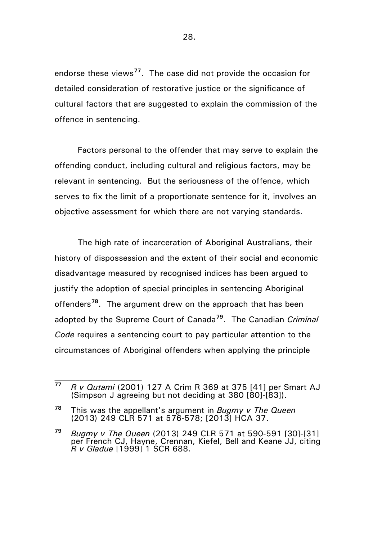endorse these views**[77](#page-27-0)**. The case did not provide the occasion for detailed consideration of restorative justice or the significance of cultural factors that are suggested to explain the commission of the offence in sentencing.

Factors personal to the offender that may serve to explain the offending conduct, including cultural and religious factors, may be relevant in sentencing. But the seriousness of the offence, which serves to fix the limit of a proportionate sentence for it, involves an objective assessment for which there are not varying standards.

The high rate of incarceration of Aboriginal Australians, their history of dispossession and the extent of their social and economic disadvantage measured by recognised indices has been argued to justify the adoption of special principles in sentencing Aboriginal offenders**[78](#page-27-1)**. The argument drew on the approach that has been adopted by the Supreme Court of Canada**[79](#page-27-2)**. The Canadian *Criminal Code* requires a sentencing court to pay particular attention to the circumstances of Aboriginal offenders when applying the principle

<span id="page-27-0"></span>**<sup>77</sup>** *R v Qutami* (2001) 127 A Crim R 369 at 375 [41] per Smart AJ (Simpson J agreeing but not deciding at 380 [80]-[83]).

<span id="page-27-1"></span>**<sup>78</sup>** This was the appellant's argument in *Bugmy v The Queen* (2013) 249 CLR 571 at 576-578; [2013] HCA 37.

<span id="page-27-2"></span>**<sup>79</sup>** *Bugmy v The Queen* (2013) 249 CLR 571 at 590-591 [30]-[31] per French CJ, Hayne, Crennan, Kiefel, Bell and Keane JJ, citing *R v Gladue* [1999] 1 SCR 688.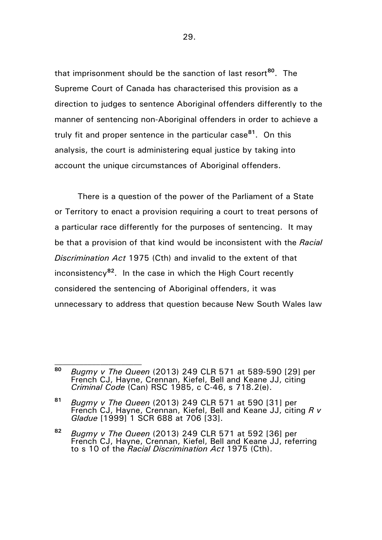that imprisonment should be the sanction of last resort**[80](#page-28-0)**. The Supreme Court of Canada has characterised this provision as a direction to judges to sentence Aboriginal offenders differently to the manner of sentencing non-Aboriginal offenders in order to achieve a truly fit and proper sentence in the particular case**[81](#page-28-1)**. On this analysis, the court is administering equal justice by taking into account the unique circumstances of Aboriginal offenders.

There is a question of the power of the Parliament of a State or Territory to enact a provision requiring a court to treat persons of a particular race differently for the purposes of sentencing. It may be that a provision of that kind would be inconsistent with the *Racial Discrimination Act* 1975 (Cth) and invalid to the extent of that inconsistency**[82](#page-28-2)**. In the case in which the High Court recently considered the sentencing of Aboriginal offenders, it was unnecessary to address that question because New South Wales law

<span id="page-28-0"></span>**<sup>80</sup>** *Bugmy v The Queen* (2013) 249 CLR 571 at 589-590 [29] per French CJ, Hayne, Crennan, Kiefel, Bell and Keane JJ, citing *Criminal Code* (Can) RSC 1985, c C-46, s 718.2(e).

<span id="page-28-1"></span>**<sup>81</sup>** *Bugmy v The Queen* (2013) 249 CLR 571 at 590 [31] per French CJ, Hayne, Crennan, Kiefel, Bell and Keane JJ, citing *R v Gladue* [1999] 1 SCR 688 at 706 [33].

<span id="page-28-2"></span>**<sup>82</sup>** *Bugmy v The Queen* (2013) 249 CLR 571 at 592 [36] per French CJ, Hayne, Crennan, Kiefel, Bell and Keane JJ, referring to s 10 of the *Racial Discrimination Act* 1975 (Cth).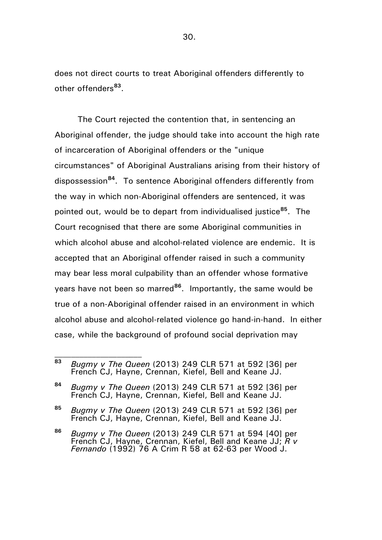does not direct courts to treat Aboriginal offenders differently to other offenders**[83](#page-29-0)**.

The Court rejected the contention that, in sentencing an Aboriginal offender, the judge should take into account the high rate of incarceration of Aboriginal offenders or the "unique circumstances" of Aboriginal Australians arising from their history of dispossession**[84](#page-29-1)**. To sentence Aboriginal offenders differently from the way in which non-Aboriginal offenders are sentenced, it was pointed out, would be to depart from individualised justice**[85](#page-29-2)**. The Court recognised that there are some Aboriginal communities in which alcohol abuse and alcohol-related violence are endemic. It is accepted that an Aboriginal offender raised in such a community may bear less moral culpability than an offender whose formative years have not been so marred**[86](#page-29-3)**. Importantly, the same would be true of a non-Aboriginal offender raised in an environment in which alcohol abuse and alcohol-related violence go hand-in-hand. In either case, while the background of profound social deprivation may

<span id="page-29-0"></span>**<sup>83</sup>** *Bugmy v The Queen* (2013) 249 CLR 571 at 592 [36] per French CJ, Hayne, Crennan, Kiefel, Bell and Keane JJ.

<span id="page-29-1"></span>**<sup>84</sup>** *Bugmy v The Queen* (2013) 249 CLR 571 at 592 [36] per French CJ, Hayne, Crennan, Kiefel, Bell and Keane JJ.

<span id="page-29-2"></span>**<sup>85</sup>** *Bugmy v The Queen* (2013) 249 CLR 571 at 592 [36] per French CJ, Hayne, Crennan, Kiefel, Bell and Keane JJ.

<span id="page-29-3"></span>**<sup>86</sup>** *Bugmy v The Queen* (2013) 249 CLR 571 at 594 [40] per French CJ, Hayne, Crennan, Kiefel, Bell and Keane JJ; *R v Fernando* (1992) 76 A Crim R 58 at 62-63 per Wood J.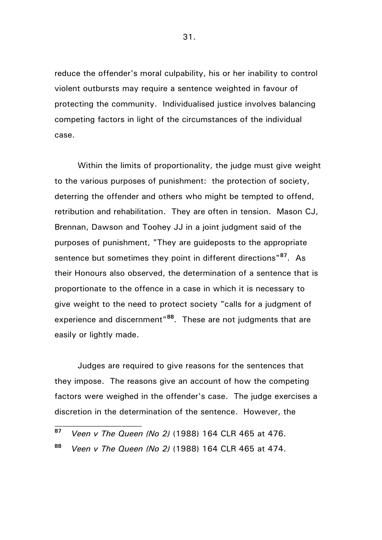reduce the offender's moral culpability, his or her inability to control violent outbursts may require a sentence weighted in favour of protecting the community. Individualised justice involves balancing competing factors in light of the circumstances of the individual case.

Within the limits of proportionality, the judge must give weight to the various purposes of punishment: the protection of society, deterring the offender and others who might be tempted to offend, retribution and rehabilitation. They are often in tension. Mason CJ, Brennan, Dawson and Toohey JJ in a joint judgment said of the purposes of punishment, "They are guideposts to the appropriate sentence but sometimes they point in different directions"**[87](#page-30-0)**. As their Honours also observed, the determination of a sentence that is proportionate to the offence in a case in which it is necessary to give weight to the need to protect society "calls for a judgment of experience and discernment"**[88](#page-30-1)**. These are not judgments that are easily or lightly made.

Judges are required to give reasons for the sentences that they impose. The reasons give an account of how the competing factors were weighed in the offender's case. The judge exercises a discretion in the determination of the sentence. However, the

<span id="page-30-0"></span>**<sup>87</sup>** *Veen v The Queen (No 2)* (1988) 164 CLR 465 at 476.

<span id="page-30-1"></span>**<sup>88</sup>** *Veen v The Queen (No 2)* (1988) 164 CLR 465 at 474.